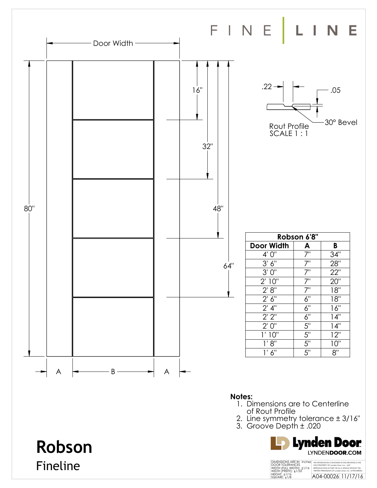

Fineline

| DIMENSIONS ARE IN: Inches            | THE INFORMATION CONTAINED IN THIS DRAWING IS THE       |
|--------------------------------------|--------------------------------------------------------|
| DOOR TOI FRANCES                     | SOLE PROPERTY OF Lynden Door, Inc., ANY                |
| WIDTH (FULL WIDTH): +1/16            | REPRODUCTION IN PART OR AS A WHOLE WITHOUT THE         |
| WIDTH (PREFIT): ±1/32                | WRITTEN PERMISSION OF Lynden Door, Inc. IS PROHIBITED. |
| <b>HEIGHT: ±1/16</b><br>SQUARE: +1/8 | A04-00026 11/17/16                                     |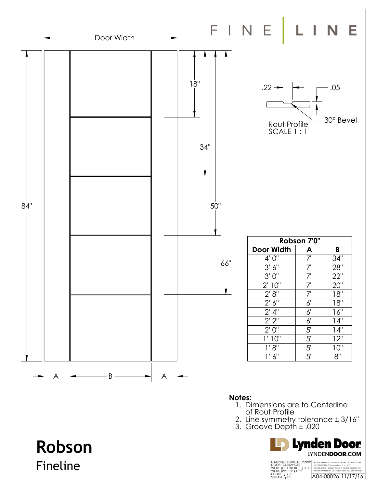

**D** Lynden Door LYNDENDOOR.COM DIMENSIONS ARE IN: Inches<br>DOOR TOLERANCES<br>WIDTH (FULL WIDTH): ±1/16<br>WIDTH (PREFIT): ±1/32<br>HEIGHT: ±1/16<br>SQUARE: ±1/8 THE INFORMATION CONTAINED IN THIS DRAWING IS THE SOLE PROPERTY OF Lynden Door, Inc. ANY<br>REPRODUCTION IN PART OR AS A WHOLE WITHOUT THE<br>WRITTEN PERMISSION OF Lynden Door, Inc. IS PROHIBITED.<br>A04-00026 11/17/16

## **Robson** Fineline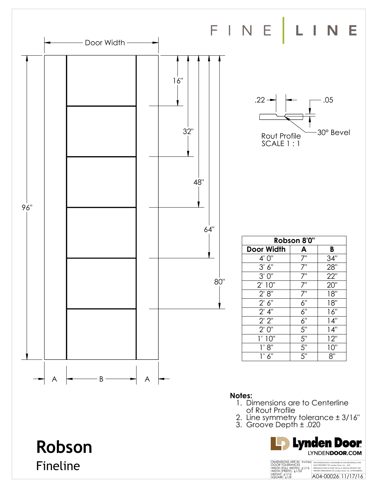

**Robson**

Fineline

- 1. Dimensions are to Centerline of Rout Profile
- 2. Line symmetry tolerance ± 3/16"
- 3. Groove Depth ± .020

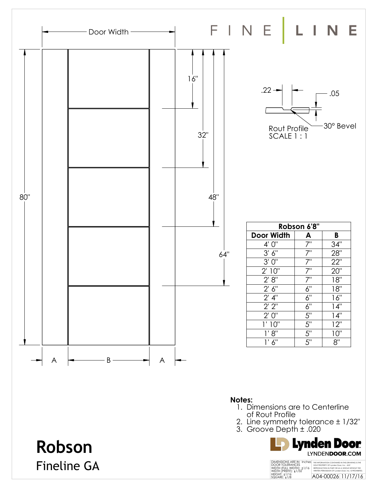

## **Notes:**

- 1. Dimensions are to Centerline of Rout Profile
- 2. Line symmetry tolerance ± 1/32"
- 3. Groove Depth ± .020



## Fineline GA

**Robson**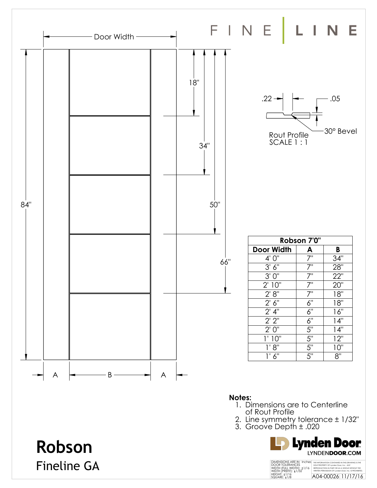

Fineline GA

THE INFORMATION CONTAINED IN THIS DRAWING IS THE SOLE PROPERTY OF Lynden Door, Inc. ANY<br>REPRODUCTION IN PART OR AS A WHOLE WITHOUT THE<br>WRITTEN PERMISSION OF Lynden Door, Inc. IS PROHIBITED.<br>A04-00026 11/17/16 DIMENSIONS ARE IN: Inches<br>DOOR TOLERANCES<br>WIDTH (FULL WIDTH): ±1/16<br>WIDTH (PREFIT): ±1/32<br>HEIGHT: ±1/16<br>SQUARE: ±1/8